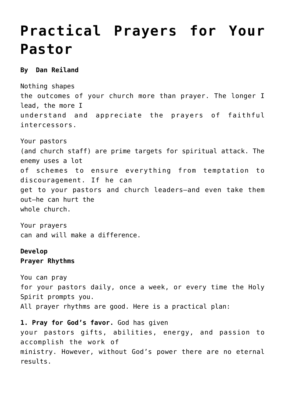## **[Practical Prayers for Your](https://www.prayerleader.com/practical-prayers-for-your-pastor/) [Pastor](https://www.prayerleader.com/practical-prayers-for-your-pastor/)**

## **By Dan Reiland**

Nothing shapes the outcomes of your church more than prayer. The longer I lead, the more I understand and appreciate the prayers of faithful intercessors.

Your pastors (and church staff) are prime targets for spiritual attack. The enemy uses a lot of schemes to ensure everything from temptation to discouragement. If he can get to your pastors and church leaders—and even take them out—he can hurt the whole church.

Your prayers can and will make a difference.

## **Develop**

**Prayer Rhythms**

You can pray for your pastors daily, once a week, or every time the Holy Spirit prompts you. All prayer rhythms are good. Here is a practical plan:

**1. Pray for God's favor.** God has given your pastors gifts, abilities, energy, and passion to accomplish the work of ministry. However, without God's power there are no eternal results.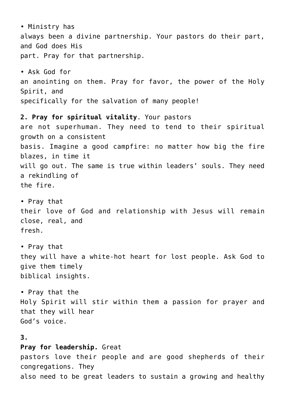• Ministry has always been a divine partnership. Your pastors do their part, and God does His part. Pray for that partnership. • Ask God for an anointing on them. Pray for favor, the power of the Holy Spirit, and specifically for the salvation of many people! **2. Pray for spiritual vitality**. Your pastors are not superhuman. They need to tend to their spiritual growth on a consistent basis. Imagine a good campfire: no matter how big the fire blazes, in time it will go out. The same is true within leaders' souls. They need a rekindling of the fire. • Pray that their love of God and relationship with Jesus will remain close, real, and fresh. • Pray that they will have a white-hot heart for lost people. Ask God to give them timely biblical insights. • Pray that the Holy Spirit will stir within them a passion for prayer and that they will hear God's voice. **3. Pray for leadership.** Great pastors love their people and are good shepherds of their congregations. They also need to be great leaders to sustain a growing and healthy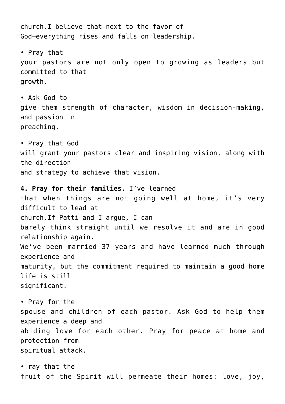church.I believe that—next to the favor of God—everything rises and falls on leadership. • Pray that your pastors are not only open to growing as leaders but committed to that growth. • Ask God to give them strength of character, wisdom in decision-making, and passion in preaching. • Pray that God will grant your pastors clear and inspiring vision, along with the direction and strategy to achieve that vision. **4. Pray for their families.** I've learned that when things are not going well at home, it's very difficult to lead at church.If Patti and I argue, I can barely think straight until we resolve it and are in good relationship again. We've been married 37 years and have learned much through experience and maturity, but the commitment required to maintain a good home life is still significant. • Pray for the spouse and children of each pastor. Ask God to help them experience a deep and abiding love for each other. Pray for peace at home and protection from spiritual attack. • ray that the

fruit of the Spirit will permeate their homes: love, joy,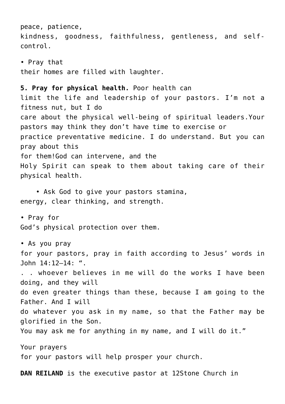peace, patience, kindness, goodness, faithfulness, gentleness, and selfcontrol.

• Pray that their homes are filled with laughter.

## **5. Pray for physical health.** Poor health can

limit the life and leadership of your pastors. I'm not a fitness nut, but I do care about the physical well-being of spiritual leaders.Your pastors may think they don't have time to exercise or practice preventative medicine. I do understand. But you can pray about this for them!God can intervene, and the Holy Spirit can speak to them about taking care of their physical health.

 • Ask God to give your pastors stamina, energy, clear thinking, and strength.

• Pray for God's physical protection over them.

• As you pray for your pastors, pray in faith according to Jesus' words in John 14:12–14: ". . . whoever believes in me will do the works I have been doing, and they will do even greater things than these, because I am going to the Father. And I will do whatever you ask in my name, so that the Father may be glorified in the Son. You may ask me for anything in my name, and I will do it." Your prayers

for your pastors will help prosper your church.

**DAN REILAND** is the executive pastor at 12Stone Church in